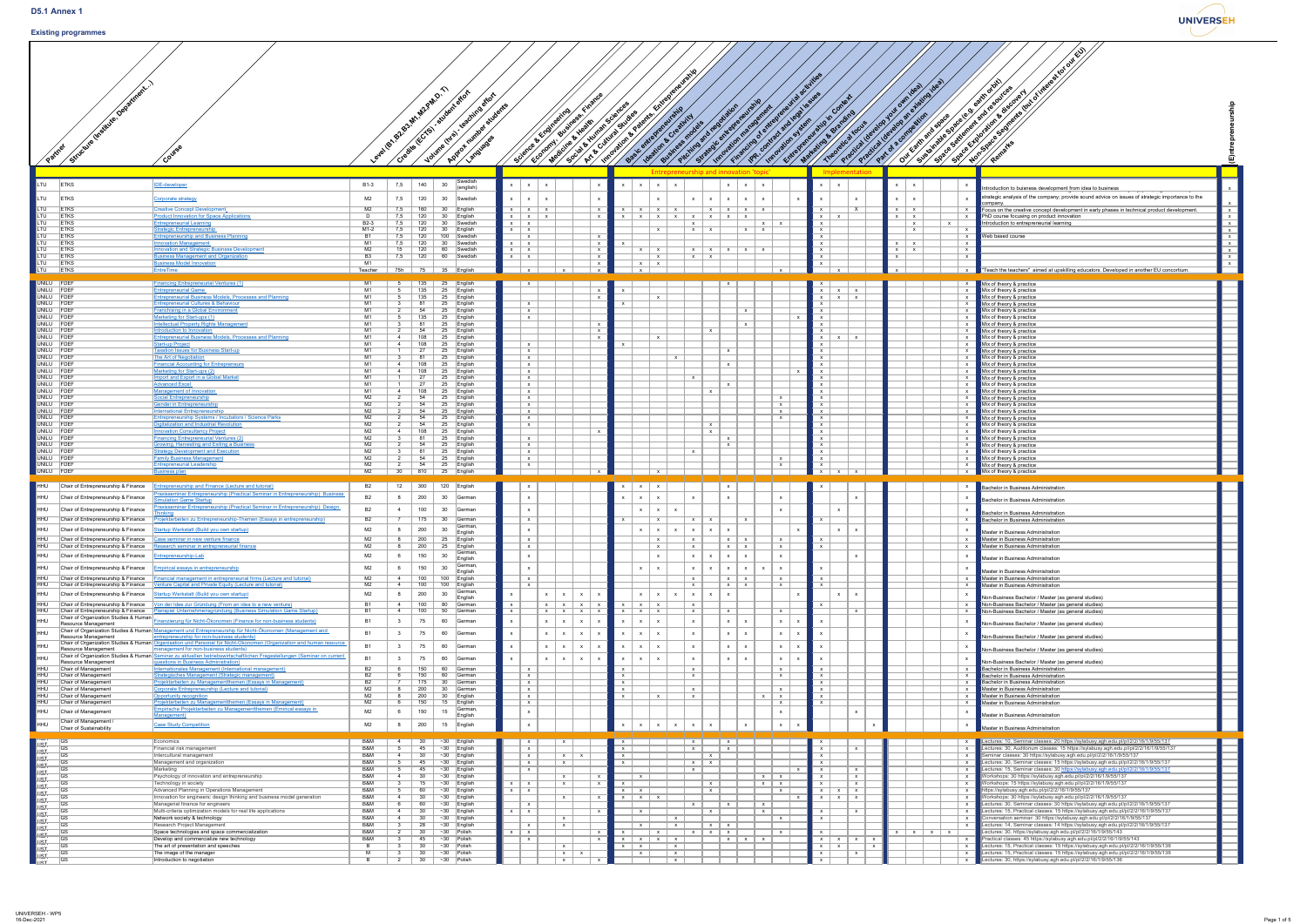**UNIVERSEH** 

## **Existing programmes**

| Structure linstitute, Department)<br>Partner<br>Course | Level Brench |
|--------------------------------------------------------|--------------|
|                                                        |              |



|                                                                                                                                                                  |                                                                                                                                                                                                             |                                                        |                                    |                                                                                                  |                                                      |                                        |                                                                  |                                                                                                   | GUISTIP                         |                                                                               | in ities                                                                    |                                          |                          | Hirterest tot out EU                                                                                                                                                                                                              |
|------------------------------------------------------------------------------------------------------------------------------------------------------------------|-------------------------------------------------------------------------------------------------------------------------------------------------------------------------------------------------------------|--------------------------------------------------------|------------------------------------|--------------------------------------------------------------------------------------------------|------------------------------------------------------|----------------------------------------|------------------------------------------------------------------|---------------------------------------------------------------------------------------------------|---------------------------------|-------------------------------------------------------------------------------|-----------------------------------------------------------------------------|------------------------------------------|--------------------------|-----------------------------------------------------------------------------------------------------------------------------------------------------------------------------------------------------------------------------------|
| Stitute. Ou                                                                                                                                                      |                                                                                                                                                                                                             |                                                        |                                    |                                                                                                  |                                                      | ating                                  | Finance                                                          |                                                                                                   |                                 |                                                                               |                                                                             |                                          |                          | le d'eath oroit)<br>Jen<br><b>815CO</b><br>TES love                                                                                                                                                                               |
|                                                                                                                                                                  |                                                                                                                                                                                                             |                                                        |                                    |                                                                                                  | $\mathcal{L}^{\mathcal{N}}$                          |                                        |                                                                  |                                                                                                   |                                 |                                                                               |                                                                             |                                          |                          |                                                                                                                                                                                                                                   |
|                                                                                                                                                                  |                                                                                                                                                                                                             |                                                        |                                    |                                                                                                  |                                                      |                                        |                                                                  |                                                                                                   |                                 |                                                                               |                                                                             |                                          |                          |                                                                                                                                                                                                                                   |
| LTU -<br><b>ETKS</b>                                                                                                                                             | <u>IDE-developer</u>                                                                                                                                                                                        | <b>B1-3</b><br>7,5                                     | 140                                | 30                                                                                               | $X \mid X \mid X$                                    |                                        |                                                                  | $\mathsf{X}$   $\mathsf{X}$                                                                       |                                 | $x \mid x \mid x$                                                             |                                                                             | $\mathsf{X}$                             |                          |                                                                                                                                                                                                                                   |
| _TU<br><b>ETKS</b>                                                                                                                                               | <u>Corporate strategy</u>                                                                                                                                                                                   | M <sub>2</sub>                                         | 120                                | 30 <sup>°</sup><br>Swedish                                                                       | $X \mid X \mid X$                                    |                                        |                                                                  |                                                                                                   |                                 | $X \mid X \mid X \mid X$                                                      |                                                                             | $\mathbf{x}$                             |                          | strategic analysis of the company; provide sound advice on issues of strategic importance to the<br>compar                                                                                                                        |
| $\overline{\overline{\mathrm{U}}\mathrm{U}}$<br><b>ETKS</b><br>$\overline{\overline{\mathrm{TU}}}$<br><b>ETKS</b><br>$\overline{\overline{\mathrm{TU}}}$<br>ETKS | <b>Creative Concept Developmen</b><br>roduct Innovation for Space Applications<br><b>ntrepreneurial Learning</b>                                                                                            | M <sup>2</sup><br><b>B2-3</b>                          | 160<br>120                         | English<br>30<br>Swedish                                                                         | $X \mid X \mid X$<br>$X \mid X \mid X$<br>$X \mid X$ |                                        |                                                                  | $\mathsf{X} \parallel \mathsf{X} \parallel \mathsf{X}$<br>$X$ $X$ $X$ $X$ $X$ $X$ $X$ $X$ $X$ $X$ |                                 | $x \mid x \mid x \mid x$<br>$\mathsf{X}$   $\mathsf{X}$                       | X.<br>$\mathsf{X}$                                                          | $x \mid x$<br>$x \mid x$<br>$\mathsf{X}$ |                          | Focus on the creative concept development in early phases in technical product development.<br>PhD course focusing on product innovation<br>Introduction to entrepreneurial learning                                              |
| $\overline{\overline{\mathrm{TU}}}$<br>ETKS<br>ETKS                                                                                                              | trategic Entrepreneurship<br><b>Entrepreneurship and Business Planning</b>                                                                                                                                  | $M1-2$                                                 | 120                                | $\sf{English}$<br>100<br>Swedish                                                                 | $X \mid X$<br>$\mathsf{X}$                           |                                        |                                                                  | $\mathsf{x}$                                                                                      | $x \mid x$                      | $x \mid x$                                                                    |                                                                             | $\mathsf{X}$                             |                          | <b>Web based course</b>                                                                                                                                                                                                           |
| ETKS<br>$\overline{\overline{\mathrm{TU}}}$<br><b>ETKS</b><br><b>ETKS</b>                                                                                        | <b>Innovation Management</b><br><b>Innovation and Strategic Business Development</b><br>usiness Management and Organization                                                                                 | $M^{\circ}$<br>M <sup>2</sup><br>7,5<br>B <sub>3</sub> | 120<br>120<br>120                  | Swedish<br>Swedish<br>60<br>60<br>Swedish                                                        | $x \mid x$<br>$x \mid x$<br>$x \mid x$               |                                        | $\mathsf{X}$                                                     |                                                                                                   | $x \mid x$                      |                                                                               |                                                                             | $\mathsf{X}$<br>$\mathbf{x}$             |                          |                                                                                                                                                                                                                                   |
| $\overline{\overline{\mathrm{TU}}}$<br><b>ETKS</b><br>$\overline{\overline{\mathsf{I} \mathsf{U}}}$<br><b>ETKS</b>                                               | usiness Model Innovation<br><b>EntreTime</b>                                                                                                                                                                | M <sub>1</sub><br>75h<br>Teacher                       | 75                                 | 35<br>$\mathsf{English}$                                                                         |                                                      |                                        |                                                                  | $X \parallel X$                                                                                   |                                 |                                                                               |                                                                             |                                          |                          | $\mathsf{X}$<br>"Teach the teachers" aimed at upskilling educators. Developed in another EU concortium.                                                                                                                           |
| UNILU FDEF<br>UNILU FDEF                                                                                                                                         | <b>Financing Entrepreneurial Ventures (1)</b><br><b>Entrepreneurial Game</b>                                                                                                                                | M1<br>M <sub>1</sub>                                   | 135<br>135                         | $\sf{English}$<br>25<br>25<br>$\mathsf{English}$                                                 |                                                      |                                        |                                                                  |                                                                                                   |                                 |                                                                               | $\mathsf{X}$<br>$\mathsf{X}$                                                |                                          |                          | Mix of theory & practice<br>$\blacksquare$ Mix of theory & practice                                                                                                                                                               |
| UNILU FDEF<br>UNILU FDEF                                                                                                                                         | <b>Entrepreneurial Business Models, Processes and Planning</b><br>Entrepreneurial Cultures & Behaviour                                                                                                      | M <sub>1</sub><br>M <sub>1</sub>                       | 135                                | 25<br>English<br>25<br>$\vert$ English                                                           | $\mathsf{X}$                                         |                                        |                                                                  |                                                                                                   |                                 |                                                                               | $\mathsf{X}$  <br>$\mathsf{X}$<br>$x \mid x$                                |                                          |                          | Mix of theory & practice<br>Mix of theory & practice                                                                                                                                                                              |
| UNILU FDEF<br>UNILU FDEF                                                                                                                                         | <b>Franchising in a Global Environment</b><br>Marketing for Start-ups (1)                                                                                                                                   | M1<br>M <sub>1</sub>                                   | 135                                | 25<br>$\vert$ English<br>25<br>$\vert$ English                                                   | $\mathsf{X}$<br>$\mathsf{X}$                         |                                        |                                                                  |                                                                                                   |                                 | $\mathbf{x}$                                                                  |                                                                             |                                          |                          | Mix of theory & practice<br>Mix of theory & practice                                                                                                                                                                              |
| UNILU FDEF<br>UNILU FDEF<br>UNILU FDEF                                                                                                                           | <b>Intellectual Property Rights Management</b><br><b>Introduction to Innovation</b><br><b>Entrepreneurial Business Models, Processes and Planning</b>                                                       | M1<br>M <sub>1</sub><br>M1                             | 108                                | 25<br>$\vert$ English<br>25<br>$\vert$ English<br>25<br>$\vert$ English                          |                                                      |                                        |                                                                  | $\mathbf{x}$                                                                                      |                                 | $\mathbf{x}$<br>$\mathsf{X}$                                                  |                                                                             |                                          |                          | Mix of theory & practice<br>Mix of theory & practice<br>Mix of theory & practice                                                                                                                                                  |
| UNILU FDEF<br>UNILU FDEF                                                                                                                                         | <b>Start-up Project</b><br><b>Taxation Issues for Business Start-up</b>                                                                                                                                     | M1<br>M <sub>1</sub>                                   | 108                                | 25<br>$\vert$ English<br>25<br>English                                                           | $\mathsf{X}$<br>$\mathsf{X}$                         |                                        |                                                                  |                                                                                                   |                                 | $\mathsf{X}$                                                                  |                                                                             |                                          |                          | Mix of theory & practice<br>Mix of theory & practice                                                                                                                                                                              |
| UNILU FDEF<br>UNILU FDEF<br>UNILU FDEF                                                                                                                           | The Art of Negotiation<br><b>Financial Accounting for Entrepreneurs</b><br>Marketing for Start-ups (2)                                                                                                      | M <sub>1</sub><br>M1<br>M1                             | 108<br>108                         | 25<br>English<br>25<br>$\vert$ English<br>25<br>$\vert$ English                                  | $\mathsf{X}$<br>$\mathsf{X}$<br>$\mathbf{X}$         |                                        |                                                                  |                                                                                                   | $\mathbf{x}$                    | $\mathsf{X}$                                                                  |                                                                             |                                          |                          | Mix of theory & practice<br>Mix of theory & practice<br>Mix of theory & practice                                                                                                                                                  |
| UNILU FDEF<br>UNILU FDEF                                                                                                                                         | <b>Import and Export in a Global Market</b><br><b>Advanced Excel</b>                                                                                                                                        | M <sub>1</sub><br>M1                                   |                                    | 25<br>$\vert$ English<br>25<br>$\vert$ English                                                   | $\mathsf{X}$<br>$\mathsf{X}$                         |                                        |                                                                  |                                                                                                   |                                 | $\mathsf{X}$                                                                  |                                                                             |                                          |                          | Mix of theory & practice<br>Mix of theory & practice                                                                                                                                                                              |
| UNILU FDEF<br>UNILU FDEF<br>UNILU FDEF                                                                                                                           | Management of Innovation<br><b>Social Entrepreneurship</b><br>Gender in Entrepreneurshir                                                                                                                    | M <sub>1</sub><br>M <sub>2</sub><br>M <sup>2</sup>     | 108<br>54                          | 25<br>$\vert$ English<br>25<br>English<br>25<br>$\vert$ English                                  | $\mathbf{X}$<br>$\mathsf{X}$<br>$\mathsf{X}$         |                                        |                                                                  |                                                                                                   |                                 | $\mathsf{X}$<br>$\mathsf{X}$<br>$\mathsf{X}$                                  |                                                                             |                                          |                          | Mix of theory & practice<br>Mix of theory & practice<br>Mix of theory & practice                                                                                                                                                  |
| UNILU FDEF<br>UNILU FDEF                                                                                                                                         | <b>International Entrepreneurship</b><br><b>Entrepreneurship Systems / Incubators / Science Parks</b>                                                                                                       | M <sub>2</sub><br>M2                                   |                                    | 25<br>$\vert$ English<br>25<br>English                                                           | $\mathsf{X}$<br>$\mathsf{X}$                         |                                        |                                                                  |                                                                                                   |                                 | $\mathsf{X}$<br>$\mathsf{X}$                                                  |                                                                             |                                          |                          | Mix of theory & practice<br>Mix of theory & practice                                                                                                                                                                              |
| UNILU FDEF<br>UNILU FDEF<br>UNILU FDEF                                                                                                                           | Digitalization and Industrial Revolution<br><b>Innovation Consultancy Project</b><br><b>Financing Entrepreneurial Ventures (2)</b>                                                                          | M2<br>M <sub>2</sub><br>M <sub>2</sub>                 | 54<br>108                          | 25<br>English<br>25<br>$\vert$ English<br>25                                                     | $\mathsf{X}$                                         |                                        |                                                                  |                                                                                                   |                                 | $\mathsf{X}$<br>$\mathsf{X}$<br>$\mathsf{X}$                                  |                                                                             |                                          |                          | Mix of theory & practice<br>Mix of theory & practice                                                                                                                                                                              |
| UNILU FDEF<br>UNILU FDEF                                                                                                                                         | <b>Growing, Harvesting and Exiting a Business</b><br><b>Strategy Development and Execution</b>                                                                                                              | M <sub>2</sub><br>M <sub>2</sub>                       |                                    | English<br>25<br>English<br>25<br>$\vert$ English                                                | $\mathsf{X}$<br>$\mathsf{X}$<br>$\mathbf{X}$         |                                        |                                                                  |                                                                                                   |                                 | $\mathsf{X}$                                                                  |                                                                             |                                          |                          | Mix of theory & practice<br>Mix of theory & practice<br>Mix of theory & practice                                                                                                                                                  |
| UNILU FDEF<br>UNILU FDEF<br>UNILU FDEF                                                                                                                           | <b>Family Business Management</b><br><b>Entrepreneurial Leadership</b><br><b>Business plan</b>                                                                                                              | M <sub>2</sub><br>M2<br>30 <sup>°</sup>                | 54<br>54<br>$\vert$ 810            | 25<br>$\vert$ English<br>25 English<br>25 English                                                | $\mathbf{Y}$<br>$\mathsf{X}$                         |                                        |                                                                  |                                                                                                   |                                 | $\mathsf{X}$<br>$\mathsf{X}$                                                  | $\overline{x}$ $\overline{x}$                                               |                                          |                          | Mix of theory & practice<br>Mix of theory & practice<br>x Mix of theory & practice                                                                                                                                                |
| Chair of Entrepreneurship $\&$ Finance<br>HHU                                                                                                                    | Entrepreneurship and Finance (Lecture and tutorial)                                                                                                                                                         | 12                                                     | 300                                | 120<br>$\mathsf{English}$                                                                        |                                                      |                                        |                                                                  | $x \mid x$<br>$\mathsf{X}$                                                                        |                                 |                                                                               |                                                                             |                                          |                          | <b>Bachelor in Business Administration</b>                                                                                                                                                                                        |
| HHU<br>Chair of Entrepreneurship & Finance                                                                                                                       | raxisseminar Entrepreneurship (Practical Seminar in Entrepreneurship): Business<br><b>mulation Game Startup</b>                                                                                             | <b>B2</b>                                              | 200                                | 30 <sup>°</sup><br>∣German                                                                       |                                                      |                                        |                                                                  |                                                                                                   |                                 | $\mathbf{x}$                                                                  |                                                                             |                                          |                          | <b>Bachelor in Business Administration</b>                                                                                                                                                                                        |
| Chair of Entrepreneurship & Finance<br>HHU<br>Chair of Entrepreneurship & Finance<br>HHU                                                                         | raxisseminar Entrepreneurship (Practical Seminar in Entrepreneurship): Design<br>Projektarbeiten zu Entrepreneurship-Themen (Essays in entrepreneurship)                                                    | <b>B2</b><br><b>B2</b>                                 | 100<br>175                         | 30<br>∣German<br>30 <sup>°</sup><br>∣German                                                      | $\mathsf{X}$                                         |                                        |                                                                  | $\mathsf{X}$                                                                                      | $\mathsf{X}$   $\mathsf{X}$     | $\mathbf{x}$                                                                  |                                                                             |                                          |                          | <b>Bachelor in Business Administration</b><br><b>Bachelor in Business Administration</b>                                                                                                                                          |
| Chair of Entrepreneurship & Finance<br>UHH                                                                                                                       | tartup Werkstatt (Build you own startup)                                                                                                                                                                    | M <sub>2</sub>                                         | 200                                | German,<br>30<br>English                                                                         |                                                      |                                        |                                                                  | $x \mid x \mid x \mid$                                                                            | $x \mid x \mid$                 | $\mathbf{x}$                                                                  |                                                                             |                                          |                          | Master in Business Administration                                                                                                                                                                                                 |
| UHH<br>Chair of Entrepreneurship & Finance<br>Chair of Entrepreneurship & Finance<br>HHU                                                                         | ase seminar in new venture finance<br>esearch seminar in entrepreneurial finance                                                                                                                            | M2<br>M2                                               | 200<br>200                         | 25<br>$\vert$ English<br>25<br>English<br>German,                                                | $\mathsf{X}$<br>$\mathbf{X}$                         |                                        |                                                                  | $\mathsf{X}$<br>$\mathbf{x}$                                                                      | $\mathbf{x}$                    | $x \mid x$<br>$\mathsf{X}$<br>$x \mid x$<br>$\mathsf{X}$                      |                                                                             |                                          |                          | Master in Business Administration<br>Master in Business Administration                                                                                                                                                            |
| Chair of Entrepreneurship & Finance<br>HHU<br>Chair of Entrepreneurship & Finance<br>HHU                                                                         | ntrepreneurship-Lab<br><b>Empirical essays in entrepreneurship</b>                                                                                                                                          | M <sub>2</sub><br>M <sub>2</sub>                       | 150<br>150                         | 30<br>English<br>∣German,                                                                        |                                                      |                                        |                                                                  | $X \mid X$                                                                                        | $x \mid x \mid$                 | $x \mid x \mid x \mid x$<br>$\mathbf{x}$<br>$\mathsf{X}$<br>$X \mid X \mid X$ |                                                                             |                                          |                          | Master in Business Administration                                                                                                                                                                                                 |
| Chair of Entrepreneurship & Finance<br>Chair of Entrepreneurship & Finance<br>HHU                                                                                | inancial management in entrepreneurial firms (Lecture and tutorial)<br><b>Venture Capital and Private Equity (Lecture and tutorial)</b>                                                                     | M <sub>2</sub><br>M2                                   | 100<br>100                         | English<br>100<br>$\vert$ English<br>100<br>∣English                                             | $\mathbf{X}$<br>$\mathsf{X}$                         |                                        |                                                                  |                                                                                                   | $\mathsf{X}$                    | $x \mid x$<br>$\mathsf{X}$<br>$x \mid x$<br>$\mathsf{X}$                      |                                                                             |                                          |                          | Master in Business Administration<br>Master in Business Administration<br>Master in Business Administration                                                                                                                       |
| Chair of Entrepreneurship & Finance<br>HHU                                                                                                                       | <b>Startup Werkstatt (Build you own startup)</b>                                                                                                                                                            | M <sub>2</sub>                                         | 200                                | German,<br>30<br>English                                                                         |                                                      |                                        | $\mathsf{x}$ $\mathsf{x}$ $\mathsf{x}$ $\mathsf{x}$ $\mathsf{x}$ | $X \mid X$                                                                                        | $x \mid x \mid$<br>$\mathsf{X}$ | $\mathbf{x}$                                                                  |                                                                             |                                          |                          | Non-Business Bachelor / Master (as general studies)                                                                                                                                                                               |
| Chair of Entrepreneurship & Finance<br>Chair of Entrepreneurship & Finance<br>Chair of Organization Studies & Human                                              | Von der Idee zur Gründung (From an idea to a new venture)<br>Planspiel Unternehmensgründung (Business Simulation Game Startup)                                                                              | <b>B1</b>                                              | 100<br>100                         | 80<br><b>German</b><br>50<br>∣German                                                             |                                                      |                                        | $x \mid x \mid x \mid x$                                         | $\mathsf{X}$   $\mathsf{X}$<br>$\mathsf{X}$<br>$\mathsf{X}$   $\mathsf{X}$                        | $\mathsf{X}$                    | $\mathsf{X}$<br>$\mathsf{X}$                                                  |                                                                             |                                          |                          | Non-Business Bachelor / Master (as general studies)<br>Non-Business Bachelor / Master (as general studies)                                                                                                                        |
| Resource Management<br>Chair of Organization Studies & Human M<br><b>UHH</b>                                                                                     | Finanzierung für Nicht-Ökonomen (Finance for non-business students)<br><u>Management und Entrepreneurship für Nicht-Ökonomen (Management and </u>                                                           | <b>B1</b><br><b>B</b> 1                                | 75<br>75                           | 60<br>German<br>60<br><b>German</b>                                                              |                                                      | $\mathbf{x}$<br>$x \mid x \mid x \mid$ |                                                                  | $\times$ $\times$                                                                                 |                                 | $x \mid x$<br>$\mathbf{x}$<br>$\mathsf{X}$  <br>$\mathsf{X}$                  |                                                                             |                                          |                          | Non-Business Bachelor / Master (as general studies)                                                                                                                                                                               |
| Resource Management<br>Resource Management                                                                                                                       | entrepreneurship for non-business students)<br>Chair of Organization Studies & Human Organisation und Personal für Nicht-Ökonomen (Organization and human resource<br>management for non-business students) |                                                        | 75                                 | 60<br>∣German                                                                                    |                                                      | $\mathbf{x}$                           |                                                                  | $\times$ $\times$                                                                                 |                                 | $\mathsf{x}$  <br>$\mathbf{x}$<br>$\mathbf{x}$                                |                                                                             |                                          |                          | Non-Business Bachelor / Master (as general studies)<br>Non-Business Bachelor / Master (as general studies)                                                                                                                        |
| Resource Management                                                                                                                                              | Chair of Organization Studies & Human Seminar zu aktuellen betriebswirtschaftlichen Fragestellungen (Seminar on current<br>questions in Business Administration)                                            | <b>B2</b>                                              |                                    | 60<br>German                                                                                     |                                                      |                                        |                                                                  |                                                                                                   |                                 | $\mathsf{x}$<br>$\mathbf{x}$                                                  |                                                                             |                                          |                          | Non-Business Bachelor / Master (as general studies)                                                                                                                                                                               |
| Chair of Management<br><b>Chair of Management</b><br>$\overline{\mathsf{HHU}}$<br>Chair of Management                                                            | Internationales Management (International management)<br>Strategisches Management (Strategic management)<br>Projektarbeiten zu Managementthemen (Essays in Management)                                      | <b>B2</b>                                              | 6 150<br>150<br>175                | 60<br>∣German<br>60<br>German<br>30<br>German                                                    | $\mathbf{x}$<br>$\mathsf{X}$                         |                                        |                                                                  |                                                                                                   |                                 | $\mathbf{X}$<br>$\mathsf{X}$                                                  |                                                                             |                                          |                          | <b>Bachelor in Business Administration</b><br><b>Bachelor in Business Administration</b><br><b>Bachelor in Business Administration</b>                                                                                            |
| <b>HHU</b><br><b>Chair of Management</b><br><b>HHU</b><br>Chair of Management                                                                                    | <b>Corporate Entrepreneurship (Lecture and tutorial)</b><br>Opportunity recognition                                                                                                                         | M <sub>2</sub><br>M <sub>2</sub>                       | 200<br>200                         | 30<br><b>German</b><br>30<br>$\vert$ English                                                     | $\mathsf{X}$<br>$\mathsf{X}$                         |                                        |                                                                  | X                                                                                                 | $\mathbf{X}$<br>$\mathbf{x}$    | $\mathsf{X}$<br>$x \mid x$                                                    |                                                                             |                                          |                          | Master in Business Administration<br>Master in Business Administration                                                                                                                                                            |
| $\overline{\mathsf{HHU}}$<br>Chair of Management<br>HHU<br>Chair of Management                                                                                   | Projektarbeiten zu Managementthemen (Essays in Management)<br>Empirische Projektarbeiten zu Managementthemen (Emirical essays in<br><u>Management)</u>                                                      | M2<br>M <sub>2</sub>                                   | 150<br>150                         | 15<br>$\vert$ English<br>German,<br>English                                                      | $\mathsf{X}$                                         |                                        |                                                                  |                                                                                                   |                                 | $\mathsf{X}$<br>$\mathsf{X}$                                                  |                                                                             |                                          |                          | Master in Business Administration<br>Master in Business Administration                                                                                                                                                            |
| Chair of Management /<br>UHH<br>Chair of Sustainability                                                                                                          | Case Study Competition                                                                                                                                                                                      | M <sub>2</sub>                                         | 200                                | 15<br>English                                                                                    |                                                      |                                        |                                                                  |                                                                                                   |                                 | $\mathbf{x}$                                                                  |                                                                             |                                          |                          | Master in Business Administration                                                                                                                                                                                                 |
| <u>הטר</u><br> GS <br><u>HST.</u><br>ASH<br>$\overline{\text{GS}}$                                                                                               | Economics<br>Financial risk management                                                                                                                                                                      | B&M<br>B&M                                             | 45                                 | $~1$ $~30$<br>English<br>$\sim$ 30 English                                                       | $\mathbf{x}$<br>$\mathsf{X}$                         |                                        |                                                                  |                                                                                                   | $\mathbf{x}$                    | $\mathsf{X}$<br>$\mathsf{X}$                                                  | $\mathsf{x}$<br>$\mathbf{x}$                                                |                                          |                          | Lectures: 10, Seminar classes: 20 https://sylabusy.agh.edu.pl/pl/2/2/16/1/9/55/137<br>Lectures: 30, Auditorium classes: 15 https://sylabusy.agh.edu.pl/pl/2/2/16/1/9/55/137                                                       |
| H <del>ST<br/>HST<br/>HST<br/>HST<br/>HST<br/>HST<br/>HST<br/>HST</del><br>$\overline{\text{GS}}$<br>$\overline{ \mathsf{GS} }$                                  | Intercultural management<br>Management and organization                                                                                                                                                     | <b>B&amp;M</b><br>B&M                                  | 30<br>45                           | $\overline{~}$ ~30<br>English<br>$~1$ $~30$<br>English                                           | $\mathsf{X}$<br>$\mathsf{X}$                         | $\times$ $\times$<br>$\mathbf{x}$      |                                                                  |                                                                                                   | $x \mid x$                      | $\mathbf{x}$                                                                  |                                                                             |                                          |                          | Seminar classes: 30 https://sylabusy.agh.edu.pl/pl/2/2/16/1/9/55/137<br>Lectures: 30, Seminar classes: 15 https://sylabusy.agh.edu.pl/pl/2/2/16/1/9/55/137                                                                        |
| $\overline{GS}$<br>$\overline{ \mathsf{GS} }$<br>$\overline{GS}$                                                                                                 | Marketing<br>Psychology of innovation and entrepreneurship<br>Technology in society                                                                                                                         | B&M<br>B&M<br><b>B&amp;M</b>                           | 45                                 | $~1$ $~30$<br>English<br>$~1$ $~30$<br>English<br>$~1$ ~30<br>$\mathsf{English}$                 | $\mathsf{X}$<br>$x \mid x$                           | $\mathbf{x}$                           | X                                                                |                                                                                                   | $\mathbf{x}$                    | $\mathsf{X}$<br>$\mathbf{x}$                                                  | $\mathsf{X}$                                                                |                                          |                          | Lectures: 15, Seminar classes: 30 https://sylabusy.agh.edu.pl/pl/2/2/16/1/9/55/137<br>Workshops: 30 https://sylabusy.agh.edu.pl/pl/2/2/16/1/9/55/137                                                                              |
| GS <br>$\overline{ \mathsf{GS} }$                                                                                                                                | Advanced Planning in Operations Management<br>Innovation for engineers: design thinking and business model generation                                                                                       | <b>B&amp;M</b><br>B&M                                  | 60<br>30                           | $~1$ - 30<br>$\mathsf{English}$<br>$~1$ $~30$<br>English                                         | $x \mid x$                                           |                                        |                                                                  | $\mathsf{X}$   $\mathsf{X}$                                                                       |                                 | $\mathsf{X}$   $\mathsf{X}$<br>X —<br>$\mathsf{X}$<br>$\mathsf{X}$            | $\mathsf{X}$<br>$\mathsf{X}$                                                |                                          |                          | Workshops: 15 https://sylabusy.agh.edu.pl/pl/2/2/16/1/9/55/137<br>https://sylabusy.agh.edu.pl/pl/2/2/16/1/9/55/137<br>Workshops: 30 https://sylabusy.agh.edu.pl/pl/2/2/16/1/9/55/137                                              |
| GS <br><del>UST.</del><br><del>UST.</del><br>$\overline{G}$                                                                                                      | Managerial finance for engineers<br>Multi-criteria optimization models for real life applications                                                                                                           | <b>B&amp;M</b><br>B&M                                  | 60<br>30                           | $~1$ $~30$<br>$\mathsf{English}$<br>$~1$ $~30$<br>English                                        | $x \mid x$                                           |                                        |                                                                  |                                                                                                   |                                 | $\mathsf{X}$<br>$\mathsf{X}$<br>$\mathsf{X}$<br>$\mathsf{X}$                  | $\mathsf{X}$                                                                |                                          |                          | Lectures: 30, Seminar classes: 30 https://sylabusy.agh.edu.pl/pl/2/2/16/1/9/55/137<br>Lectures: 15, Practical classes: 15 https://sylabusy.agh.edu.pl/pl/2/2/16/1/9/55/137                                                        |
| GS <br> GS<br>$\overline{\text{GS}}$                                                                                                                             | Network society & technology<br><b>Research Project Management</b><br>Space technologies and space commercialization                                                                                        | B&M<br>B&M<br><b>B&amp;M</b>                           | 28                                 | $~1$ $~30$<br>$\mathsf{English}$<br>$~1$ $~30$<br>$\mathsf{English}$<br>$~1$ $~30$<br>$ $ Polish | $\mathbf{x}$<br>$x \mid x$                           |                                        |                                                                  | $\mathbf{x}$                                                                                      | $\mathsf{X}$<br>$\mathbf{x}$    | $\mathsf{X}$<br>$x \mid x$<br>$x \mid x \mid x$<br>$\mathsf{X}$               |                                                                             |                                          | $x \mid x \mid x \mid x$ | Conversation seminar: 30 https://sylabusy.agh.edu.pl/pl/2/2/16/1/9/55/137<br>Lectures: 14, Seminar classes: 14 https://sylabusy.agh.edu.pl/pl/2/2/16/1/9/55/137<br>Lectures: 30, https://sylabusy.agh.edu.pl/pl/2/2/16/1/9/55/143 |
| * 811<br><del>UST<br/>UST<br/>UST<br/>UST<br/>UST</del><br>$\overline{\text{GS}}$<br>$\overline{ \text{GS} }$                                                    | Develop and commercialize new technology<br>The art of presentation and speeches                                                                                                                            | B&M                                                    | 45                                 | $\sim 30$<br>Polish<br>$~1$ $~30$<br>Polish                                                      | $\mathsf{X}$                                         | $\mathbf{x}$                           |                                                                  | $x \mid x$<br>$\mathbf{x}$<br>$\mathsf{X}$                                                        | $\mathsf{X}$                    | $\mathsf{x}$   $\mathsf{x}$   $\mathsf{x}$                                    | $\mathsf{X}$<br>$\mathsf{x}$   $\mathsf{x}$<br>$\mathsf{x}$<br>$\mathbf{x}$ |                                          |                          | Practical classes: 45 https://sylabusy.agh.edu.pl/pl/2/2/16/1/9/55/143<br>Lectures: 15, Practical classes: 15 https://sylabusy.agh.edu.pl/pl/2/2/16/1/9/55/136                                                                    |
| $\overline{\text{GS}}$<br>H <del>ST.</del><br>UST<br>$\overline{\overline{\mathsf{G}}\mathsf{S}}$                                                                | The image of the manager<br>Introduction to negotiation                                                                                                                                                     |                                                        | $\overline{30}$<br>$\overline{30}$ | $\overline{~}$ ~30<br>Polish<br>$\sim$ 30   Polish                                               |                                                      | $x \mid x$<br>$\mathsf{X}$             |                                                                  | $\mathsf{X}$                                                                                      | $\mathsf{X}$<br>$\mathsf{X}$    |                                                                               | $\mathbf{X}$                                                                |                                          |                          | Lectures: 15, Practical classes: 15 https://sylabusy.agh.edu.pl/pl/2/2/16/1/9/55/136<br>Lectures: 30, https://sylabusy.agh.edu.pl/pl/2/2/16/1/9/55/136                                                                            |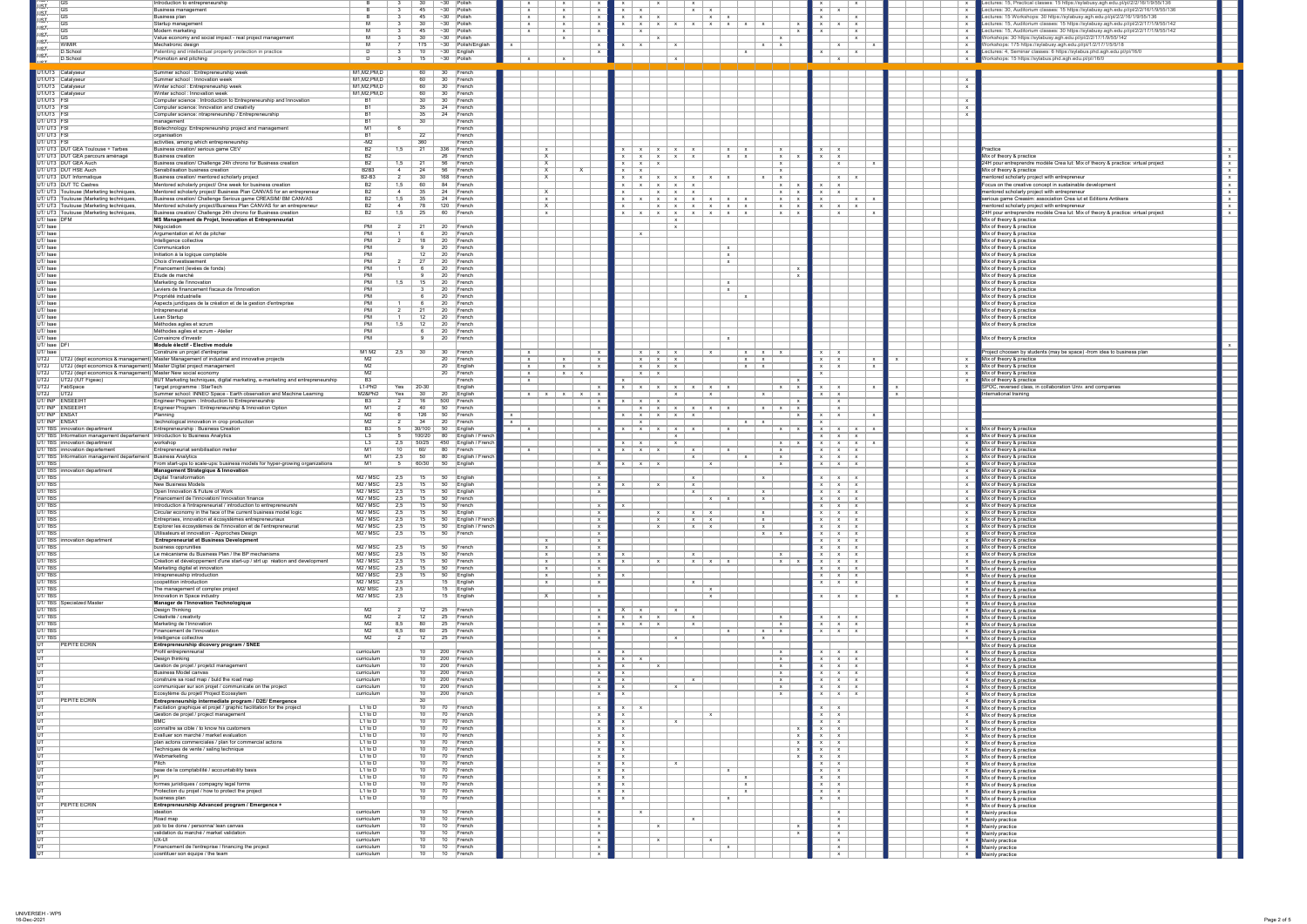

| אסא $\blacksquare$<br> GS                                                                                                            | Introduction to entrepreneurship                                                                                                     |                                                                             | ∼30  Polish                                                                       |                                                     | $\mathbf{X}$                                                                                                                       |                                                                    | Lectures: 15, Practical classes: 15 https://sylabusy.agh.edu.pl/pl/2/2/16/1/9/55/136                                                                                 |
|--------------------------------------------------------------------------------------------------------------------------------------|--------------------------------------------------------------------------------------------------------------------------------------|-----------------------------------------------------------------------------|-----------------------------------------------------------------------------------|-----------------------------------------------------|------------------------------------------------------------------------------------------------------------------------------------|--------------------------------------------------------------------|----------------------------------------------------------------------------------------------------------------------------------------------------------------------|
| H <del>ST.</del><br>$\overline{\overline{\mathsf{G}}\mathsf{S}}$<br>$\overline{\overline{\mathsf{G}}\mathsf{S}}$                     | <b>Business management</b><br>Business plan                                                                                          |                                                                             | $\sim$ 30 Polish<br>45<br>$~1$ $~30$<br><b>Polish</b>                             | $\mathbf{x}$<br>$\mathbf{x}$                        | $x \mid x$<br>$\mathsf{x}$   $\mathsf{x}$<br>$x \mid x$<br>$\mathsf{x}$ $\mathsf{x}$                                               | $\mathsf{X}$<br>$\mathbf{x}$                                       | Lectures: 30, Auditorium classes: 15 https://sylabusy.agh.edu.pl/pl/2/2/16/1/9/55/136<br>Lectures: 15 Workshops: 30 https://sylabusy.agh.edu.pl/pl/2/2/16/1/9/55/136 |
| <del>{ST<br/>+ST<br/>+ST<br/>+ST<br/>+ST<br/>+ST<br/>+ST</del><br>$\overline{\text{GS}}$                                             | Startup management                                                                                                                   |                                                                             | $~1$ $~30$<br>30<br>Polish                                                        | $\mathbf{x}$                                        | $\mathbf{x}$<br>$\mathsf{x}$ $\mathsf{x}$                                                                                          | $\mathsf{X}$                                                       | Lectures: 15, Auditorium classes: 15 https://sylabusy.agh.edu.pl/pl/2/2/17/1/9/55/142                                                                                |
| $\overline{\overline{\mathsf{G}}\mathsf{S}}$<br>$\overline{ \text{GS} }$                                                             | Modern marketing<br>Value economy and social impact - real project management                                                        |                                                                             | $~1$ - 30<br>$ $ Polish<br>45<br>$~1$ $~30$<br>30<br>Polish                       | $\mathbf{x}$                                        | $\mathbf{Y}$<br>$\mathbf{x}$                                                                                                       | $\mathbf{x}$<br>$\mathbf{x}$                                       | Lectures: 15, Auditorium classes: 30 https://sylabusy.agh.edu.pl/pl/2/2/17/1/9/55/142<br>Workshops: 30 https://sylabusy.agh.edu.pl/pl/2/2/17/1/9/55/142              |
| <b>WIMIR</b><br>D.School                                                                                                             | Mechatronic design<br>Patenting and intellectual property protection in practice                                                     |                                                                             | Polish/English<br>175<br>$~1$ $~30$<br>10<br>$~1$ - 30<br>$\vert$ English         |                                                     | $x \mid x$<br>$\mathsf{X}$<br>$\mathsf{x}$<br>$\mathsf{X}$                                                                         |                                                                    | Workshops: 175 https://sylabusy.agh.edu.pl/pl/1/2/17/1/5/5/18<br>Lectures: 4, Seminar classes: 6 https://sylabus.phd.agh.edu.pl/pl/16/0                              |
| $\frac{1}{1}$<br>D.School                                                                                                            | <b>Promotion and pitching</b>                                                                                                        |                                                                             | $~1$ $~30$<br>15<br>Polish                                                        |                                                     |                                                                                                                                    |                                                                    | Workshops: 15 https://sylabus.phd.agh.edu.pl/pl/16/0                                                                                                                 |
| UT/UT3 Catalyseur                                                                                                                    | Summer school: Entrepreneurship week                                                                                                 | M1, M2, PM, D                                                               | 60  <br>30<br>$ $ French                                                          |                                                     |                                                                                                                                    |                                                                    |                                                                                                                                                                      |
| UT/UT3 Catalyseur<br>UT/UT3 Catalyseur                                                                                               | Summer school : Innovation week<br>Winter school: Entrepreneuship week                                                               | M1, M2, PM, D<br>M1, M2, PM, D                                              | 60<br>30 <sup>7</sup><br>$ $ French<br>60<br>30 <sup>°</sup><br>$ $ French        |                                                     |                                                                                                                                    |                                                                    |                                                                                                                                                                      |
| UT/UT3 Catalyseur                                                                                                                    | Winter school: Innovation week                                                                                                       | M1, M2, PM, D                                                               | 60<br>30<br>$ $ French                                                            |                                                     |                                                                                                                                    |                                                                    |                                                                                                                                                                      |
| UT/UT3 FSI<br>UT/UT3 <mark>FSI</mark><br>UT/UT3 FSI                                                                                  | Computer science: Introduction to Entrepreneurship and Innovation<br>Computer science: Innovation and creativity                     |                                                                             | 30<br>30<br>$ $ French<br>24<br>$ $ French<br>35                                  |                                                     |                                                                                                                                    |                                                                    |                                                                                                                                                                      |
| UT/UT3 FSI                                                                                                                           | Computer science: ntrapreneurship / Entrepreneurship<br>management                                                                   |                                                                             | 35<br>$ $ French<br>24<br>30<br>French                                            |                                                     |                                                                                                                                    |                                                                    |                                                                                                                                                                      |
| UT/UT3 FSI                                                                                                                           | Biotechnology: Entrepreneurship project and management                                                                               | M1                                                                          | French                                                                            |                                                     |                                                                                                                                    |                                                                    |                                                                                                                                                                      |
| UT/UT3 FSI<br>UT/UT3 FSI                                                                                                             | organisation<br>activities, among which entrepreneurship                                                                             | -M2                                                                         | $\overline{22}$<br>French<br>$\overline{360}$<br>French                           |                                                     |                                                                                                                                    |                                                                    |                                                                                                                                                                      |
| UT/ UT3 DUT GEA Toulouse + Tarbes<br>UT/ UT3 DUT GEA parcours aménagé                                                                | Business creation/ serious game CEV<br>Business creation                                                                             | B <sub>2</sub><br>1,5<br>B2                                                 | 336<br>∣French<br>$\overline{26}$                                                 | $\mathbf{x}$                                        | $x \mid x$<br>$\mathsf{X}$<br>$X \mid X \mid X$<br>$\times$ $\times$                                                               | $X \cup X$                                                         | Practice<br>Mix of theory & practice                                                                                                                                 |
| UT/UT3 DUT GEA Auch                                                                                                                  | Business creation/ Challenge 24h chrono for Business creation                                                                        | B <sub>2</sub><br>1,5                                                       | $ $ French<br>56<br>$ $ French                                                    |                                                     | $\mathsf{X}$   $\mathsf{X}$<br>$\mathsf{X}$<br>$X \mid X \mid X$<br>$X \mid X$<br>$X \mid X \mid X$<br>$\mathsf{X}$                | $X \mid X$<br>X                                                    | 24H pour entreprendre modèle Crea lut: Mix of theory & practice: virtual project                                                                                     |
| UT/UT3 DUT HSE Auch<br>UT/ UT3 DUT Informatique                                                                                      | Sensibilisation business creation<br>Business creation/ mentored scholarly project                                                   | B <sub>2</sub> B <sub>3</sub><br><b>B2-B3</b>                               | 56<br>$ $ French<br>168<br>30<br>$ $ French                                       |                                                     | $\mathsf{X}$<br>$X \cup X$<br>$\mathsf{x}$   $\mathsf{x}$   $\mathsf{x}$   $\mathsf{x}$<br>$x \mid x$<br>$X \mid X \mid X$         | $\mathsf{X}$<br>$\mathsf{X}$                                       | Mix of theory & practice<br>mentored scholarly project with entrepreneur                                                                                             |
| UT/UT3 DUT TC Castres                                                                                                                | Mentored scholarly project/ One week for business creation                                                                           | B <sub>2</sub><br>5. ا                                                      | 60<br>84<br>$ $ French                                                            |                                                     | $\mathsf{X}$<br>$X \mid X$                                                                                                         |                                                                    | Focus on the creative concept in sustainable development                                                                                                             |
| UT/ UT3 Toulouse (Marketing techniques,<br>UT/ UT3 Toulouse (Marketing techniques,                                                   | Mentored scholarly project/ Business Plan CANVAS for an entrepreneur<br>Business creation/ Challenge Serious game CREASIM/ BM CANVAS | B <sub>2</sub><br>1,5                                                       | 24<br>$ $ French<br>$\overline{35}$<br>$\vert$ 24<br>$ $ French                   | $\mathsf{X}$                                        | $\mathsf{X}$<br>$X \mid X$<br>$\mathsf{X}$<br>$x \mid x$                                                                           |                                                                    | mentored scholarly project with entrepreneur<br>serious game Creasim: association Crea iut et Editions Antikera                                                      |
| JT/ UT3 Toulouse (Marketing techniques<br>UT/ UT3 Toulouse (Marketing techniques,                                                    | Mentored scholarly project/Business Plan CANVAS for an entrepreneur<br>Business creation/ Challenge 24h chrono for Business creation | <b>B2</b>                                                                   | 120<br>∣French<br>60<br>∣French                                                   | X                                                   | $X \mid X$<br>$x \mid x$                                                                                                           | $\mathbf{x}$<br>$\mathbf{x}$                                       | mentored scholarly project with entrepreneur<br>24H pour entreprendre modèle Crea lut: Mix of theory & practice: virtual project                                     |
| JT/ Isae DFM                                                                                                                         | MS Management de Projet, Innovation et Entrepreneuriat                                                                               |                                                                             |                                                                                   |                                                     |                                                                                                                                    |                                                                    | Mix of theory & practice                                                                                                                                             |
| $\overline{J}$ lsae<br>JT/Isae                                                                                                       | Négociation<br>Argumentation et Art de pitcher                                                                                       | - PN                                                                        | 20<br>$ $ French<br>20<br>$ $ French                                              |                                                     | $\mathbf{Y}$                                                                                                                       |                                                                    | Mix of theory & practice<br>Mix of theory & practice                                                                                                                 |
| $\overline{JT/Isae}$<br>$\overline{JT/Isae}$                                                                                         | Intelligence collective<br>Communication                                                                                             | P <sub>N</sub><br>P <sub>h</sub>                                            | 20<br>$ $ French<br>$\overline{20}$<br>$ $ French                                 |                                                     |                                                                                                                                    |                                                                    | Mix of theory & practice<br>Mix of theory & practice                                                                                                                 |
| $\overline{JT/Isae}$                                                                                                                 | Initiation à la logique comptable                                                                                                    | P <sub>N</sub>                                                              | 20<br>$ $ French                                                                  |                                                     | $\mathbf{x}$                                                                                                                       |                                                                    | Mix of theory & practice                                                                                                                                             |
| JT/Isae<br>JT/Isae                                                                                                                   | <b>Choix d'investissement</b><br>Financement (levées de fonds)                                                                       | P <sub>N</sub><br>P <sub>h</sub>                                            | 20<br>$ $ French<br>20<br>$ $ French                                              |                                                     |                                                                                                                                    |                                                                    | Mix of theory & practice<br>Mix of theory & practice                                                                                                                 |
| JT/Isae<br>T/ Isae                                                                                                                   | Etude de marché<br>Marketing de l'innovation                                                                                         |                                                                             | 20<br>$ $ French<br>20<br>$ $ French                                              |                                                     |                                                                                                                                    |                                                                    | Mix of theory & practice<br>Mix of theory & practice                                                                                                                 |
| T/ Isae                                                                                                                              | Leviers de financement fiscaux de l'innovation                                                                                       | <b>PM</b>                                                                   | 20<br>$ $ French                                                                  |                                                     |                                                                                                                                    |                                                                    | Mix of theory & practice                                                                                                                                             |
| $T/$ Isae<br>T/ Isae                                                                                                                 | Propriété industrielle<br>Aspects juridiques de la création et de la gestion d'entreprise                                            | PN                                                                          | 20<br>$ $ French<br>20<br>$ $ French                                              |                                                     | $\mathsf{X}$                                                                                                                       |                                                                    | Mix of theory & practice<br>Mix of theory & practice                                                                                                                 |
| $T/$ Isae                                                                                                                            | Intrapreneuriat<br>Lean Startup                                                                                                      | - PN                                                                        | 20<br>$ $ French                                                                  |                                                     |                                                                                                                                    |                                                                    | Mix of theory & practice<br>Mix of theory & practice                                                                                                                 |
| T/ Isae<br>JT/Isae                                                                                                                   | Méthodes agiles et scrum                                                                                                             | <b>PM</b><br>P <sub>h</sub>                                                 | 20<br>$ $ French<br>20<br>$ $ French                                              |                                                     |                                                                                                                                    |                                                                    | Mix of theory & practice                                                                                                                                             |
| $T/$ Isae<br>$JT/$ Isae                                                                                                              | Méthodes agiles et scrum - Atelier<br>Convaincre d'investir                                                                          | <b>PM</b><br><b>PM</b>                                                      | 20<br><b>French</b><br>20<br>$ $ French                                           |                                                     | $\mathbf{x}$                                                                                                                       |                                                                    | Mix of theory & practice                                                                                                                                             |
| JT/ Isae DFI<br>$JT/$ Isae                                                                                                           | Module électif - Elective module<br>Construire un projet d'entreprise                                                                | M1 M2                                                                       | 30                                                                                |                                                     |                                                                                                                                    |                                                                    |                                                                                                                                                                      |
|                                                                                                                                      | UT2J (dept economics & management) Master Management of industrial and innovative projects                                           | M <sub>2</sub>                                                              | 30<br>$ $ French<br>20<br>$ $ French                                              | $\mathbf{x}$<br>$\mathsf{X}$<br>$\mathbf{x}$        | $X \mid X \mid X$<br>$\mathsf{X}$<br>$x \mid x \mid x$<br>$x \mid x$                                                               | $X \cup X$<br>$\mathsf{x}$                                         | Project choosen by students (may be space) -from idea to business plan<br>Mix of theory & practice                                                                   |
| UT2J (dept economics & management) Master Digital project management<br>UT2J (dept economics & management) Master New social economy |                                                                                                                                      | M <sub>2</sub><br>M <sub>2</sub>                                            | $\overline{20}$<br>$\mathsf{English}$<br>20<br>$ $ French                         | $\mathsf{X}$<br>$\mathbf{x}$<br>$\mathsf{X}$  <br>X | $X \mid X \mid X$<br>$X \mid X$<br>$X \mid X$                                                                                      |                                                                    | Mix of theory & practice<br>Mix of theory & practice                                                                                                                 |
| $\overline{J}$<br>UT2J (IUT Figeac)                                                                                                  | BUT Marketing techniques, digital marketing, e-marketing and entrepreneurship                                                        | B3                                                                          | French                                                                            |                                                     |                                                                                                                                    |                                                                    | Mix of theory & practice                                                                                                                                             |
| $\overline{JT2J}$<br>FabSpace<br>$\overline{JT2J}$<br> UT2J                                                                          | Target programme : StarTech<br>Summer school: INNEO Space - Earth observation and Machine Learning                                   | $L1-PhD$<br>Yes<br>M2&PhD<br>Yes                                            | $20 - 30$<br>English<br>30<br>20<br>$\vert$ English                               | $x \mid x \mid x$<br>$\mathsf{X}$<br>$\mathbf{x}$   | $\mathsf{X}$<br>$\mathsf{X}$   $\mathsf{X}$  <br>$\mathsf{X}$   $\mathsf{X}$<br>$\mathsf{X}$<br>$\mathbf{x}$                       |                                                                    | SPOC, reversed class, in collaboration Univ. and companies<br>International training                                                                                 |
| JT/INP ENSEEIHT<br>JT/INP ENSEEIHT                                                                                                   | Engineer Program : Introduction to Entrepreneurship<br>Engineer Program: Entrepreneurship & Innovation Option                        | B <sub>3</sub>                                                              | 500<br>16<br>$ \mathsf{French} $<br>50<br>$ $ French                              |                                                     | $X \mid X \mid X \mid X \mid X$<br>$\mathsf{X}$                                                                                    |                                                                    |                                                                                                                                                                      |
| JT/ INP ENSAT                                                                                                                        | Planning                                                                                                                             | M <sub>2</sub>                                                              | 50<br>126<br>$ $ French                                                           |                                                     |                                                                                                                                    |                                                                    |                                                                                                                                                                      |
| JT/ INP ENSAT<br>JT/TBS innovation department                                                                                        | :technological innovation in crop production<br><b>Entrepreneurship: Business Creation</b>                                           | M <sub>2</sub>                                                              | 20<br>$ $ French<br>30/100<br>$\vert$ English                                     | $\mathbf{x}$                                        | $\mathsf{X}$   $\mathsf{X}$<br>$x \mid x$<br>$x \mid x \mid x$<br>$\mathsf{X}$                                                     | $x \mid x$<br>- x - 1                                              | Mix of theory & practice                                                                                                                                             |
| JT/TBS Information management departement                                                                                            | Introduction to Business Analytics                                                                                                   | L <sub>3</sub>                                                              | 100/20<br><b>English / French</b><br>80                                           |                                                     |                                                                                                                                    | $x \mid x \mid$<br>$\mathsf{X}$                                    | Mix of theory & practice                                                                                                                                             |
| JT/TBS innovation department<br>UT/TBS innovation departement                                                                        | workshop<br>Entrepreneuriat senibilisation metier                                                                                    | L3<br>10<br>M                                                               | $50/25$<br>450<br>English / French<br>60/<br>80<br>∣French                        | $\mathsf{X}$                                        | $\mathbf{x}$<br>$\mathbf{x}$<br>$x \mid x \mid x$<br>$\mathbf{x}$<br>$\mathsf{X}$<br>$\mathbf{x}$                                  | $X \mid X$<br>$X \mid X \mid$<br>$x \mid x \mid$<br>$\mathsf{X}$   | Mix of theory & practice<br>Mix of theory & practice                                                                                                                 |
| JT/TBS Information management departement<br>JT/TBS                                                                                  | <b>Business Analytics</b><br>From start-ups to scale-ups: business models for hyper-growing organizations                            | M1<br>M1                                                                    | 80<br>English / French<br>50<br>60/30<br>50<br>∣English                           |                                                     | $\mathsf{X}$<br>$\begin{array}{ccc} \ & \times \ \end{array}$<br>$\mathsf{X}$<br>$x \mid x \mid x$<br>$\mathbf{X}$<br>$\mathsf{X}$ | $\mathsf{X}$<br>$X \mid X \mid$<br>$X \mid X \mid$<br>$\mathsf{X}$ | Mix of theory & practice<br>Mix of theory & practice                                                                                                                 |
| JT/TBS   innovation department                                                                                                       | <b>Management Strategique &amp; Innovation</b>                                                                                       |                                                                             |                                                                                   |                                                     |                                                                                                                                    |                                                                    | Mix of theory & practice                                                                                                                                             |
| <b>JT/TBS</b><br>JT/TBS                                                                                                              | <b>Digital Transformation</b><br><b>New Business Models</b>                                                                          | M <sub>2</sub> / M <sub>SC</sub><br>M <sub>2</sub> / M <sub>SC</sub><br>2,5 | 50<br>15<br>$\vert$ English<br>50<br>15<br>$\vert$ English                        |                                                     | $\mathsf{X}$<br>$\mathsf{X}$<br>$\mathsf{X}$<br>$\mathsf{X}$                                                                       | $\mathsf{X}$<br>$\mathsf{X}$<br>$\mathbf{x}$<br>$\mathsf{X}$       | Mix of theory & practice<br>Mix of theory & practice                                                                                                                 |
| <b>JT/TBS</b><br><b>JT/TBS</b>                                                                                                       | Open Innovation & Future of Work<br>Financement de l'innovation/ Innovation finance                                                  | M <sub>2</sub> / M <sub>SC</sub><br>2.5<br>M <sub>2</sub> / M <sub>SC</sub> | 50<br>$\mid$ English<br>50<br>$ $ French                                          |                                                     | $\mathsf{X}$<br>$x \mid x$<br>$\mathsf{X}$                                                                                         | $\mathbf{x}$<br>$\mathsf{X}$<br>$\mathbf{x}$                       | Mix of theory & practice<br>Mix of theory & practice                                                                                                                 |
| <b>JT/TBS</b>                                                                                                                        | Introduction à l'intrapreneuriat / introduction to entrepreneurshi                                                                   | M <sub>2</sub> / M <sub>SC</sub>                                            | 50<br>$ $ French                                                                  |                                                     |                                                                                                                                    | $\mathsf{X}$<br>$\mathbf{x}$                                       | Mix of theory & practice                                                                                                                                             |
| <b>JT/TBS</b><br><b>JT/TBS</b>                                                                                                       | Circular economy in the face of the current business model logic<br>Entreprises, innovation et écosystèmes entrepreneuriaux          | M <sub>2</sub> / M <sub>SC</sub><br>M <sub>2</sub> / M <sub>SC</sub>        | 50<br>$\vert$ English<br>English / French<br>50                                   |                                                     | $x \mid x$<br>$\mathsf{X}$<br>$\mathsf{X}$<br>$x \mid x$<br>$\vert$ x<br>$\mathsf{X}$                                              | $\mathsf{X}$<br>$\mathbf{x}$<br>$\mathsf{X}$<br>$\mathbf{x}$       | Mix of theory & practice<br>Mix of theory & practice                                                                                                                 |
| <b>JT/TBS</b><br><b>JT/TBS</b>                                                                                                       | Explorer les écosystèmes de l'innovation et de l'entrepreneuriat<br>Utilisateurs et innovation - Approches Design                    | $M2 /$ MSC<br>M <sub>2</sub> / M <sub>SC</sub><br>2,5                       | <b>English / French</b><br>50<br>15<br>50<br>$ $ French                           |                                                     | $\mathsf{X}$<br>$\mathbf{X}$<br>$x \mid x$<br>$x \mid x$                                                                           | $x \mid x \mid$<br>$\mathsf{X}$<br>$X \mid X \mid$<br>$\mathbf{x}$ | Mix of theory & practice<br>Mix of theory & practice                                                                                                                 |
| JT/TBS innovation department                                                                                                         | <b>Entrepreneuriat et Business Development</b>                                                                                       |                                                                             |                                                                                   | $\mathbf{x}$                                        |                                                                                                                                    | $x \mid x \mid$<br>$\mathbf{x}$                                    | Mix of theory & practice                                                                                                                                             |
| <b>JT/TBS</b><br><b>JT/TBS</b>                                                                                                       | business opprunities<br>Le mécanisme du Business Plan / the BP mechanisms                                                            | $M2 /$ MSC<br>M <sub>2</sub> / M <sub>SC</sub>                              | 50<br>15<br>∣French<br>15<br>50<br>$ $ French                                     | $\mathsf{X}$<br>$\mathsf{X}$                        | $\mathsf{x}$<br>$\mathsf{X}$                                                                                                       | $\mathbf{x}$<br>$x \mid x \mid$<br>$x \mid x \mid$<br>$\mathsf{X}$ | Mix of theory & practice<br>Mix of theory & practice                                                                                                                 |
| <b>JT/TBS</b><br><b>JT/TBS</b>                                                                                                       | Création et développement d'une start-up / strt up réation and development<br>Marketing digital et innovation                        | M2 / MSC<br>$M2 /$ MSC<br>2,5                                               | 50<br>$ $ French<br>$\overline{15}$<br>50<br>∣French                              | $\mathsf{X}$<br>$\mathsf{X}$                        | $x \mid x$<br>$\mathsf{X}$<br>$\mathbf x$                                                                                          | $\mathsf{X}$<br>$\mathbf{X}$<br>$\mathsf{X}$  <br>$\mathsf{X}$     | Mix of theory & practice<br>Mix of theory & practice                                                                                                                 |
| <b>JT/TBS</b>                                                                                                                        | Intrapreneuship introduction                                                                                                         | M <sub>2</sub> / M <sub>SC</sub><br>2,5                                     | 50<br>15<br>$\mathsf{English}$                                                    | $\mathsf{X}$                                        |                                                                                                                                    | $\mathsf{X}$<br>$\mathsf{X}$                                       | Mix of theory & practice                                                                                                                                             |
| <b>JT/TBS</b><br><b>JT/TBS</b>                                                                                                       | coopetition introduction<br>The management of complex project                                                                        | $M2 /$ MSC<br>$\overline{2,5}$<br>M <sub>2</sub> /M <sub>SC</sub><br>2,5    | 15<br>$\mathsf{English}$<br>15 English                                            | $\mathsf{X}$                                        | $\mathsf{x}$<br>$\mathsf{X}$                                                                                                       | $\mathsf{X}$                                                       | Mix of theory & practice<br>Mix of theory & practice                                                                                                                 |
| <b>JT/TBS</b><br>JT/TBS Specialzed Master                                                                                            | Innovation in Space industry<br>Manager de l'Innovation Technologique                                                                | M2 / MSC<br>2,5                                                             | 15 English                                                                        |                                                     | $\mathsf{X}$                                                                                                                       | $\mathsf{X}$                                                       | Mix of theory & practice<br>Mix of theory & practice                                                                                                                 |
| <b>JT/TBS</b>                                                                                                                        | Design Thinking                                                                                                                      | M <sub>2</sub>                                                              | 25<br>12<br>$ $ French                                                            |                                                     |                                                                                                                                    |                                                                    | Mix of theory & practice                                                                                                                                             |
| JT/TBS<br><b>JT/TBS</b>                                                                                                              | Créativité / creativity<br>Marketing de l'Innovation                                                                                 | M2<br>M <sub>2</sub>                                                        | 25<br>12<br>$ $ French<br>25<br>80<br>$ $ French                                  |                                                     | $x \mid x$<br>$\mathsf{X}$<br>$\mathsf{X}$<br>$\mathbf{x}$                                                                         | $\mathsf{X}$<br>$x \mid x \mid$<br>$\mathsf{X}$                    | Mix of theory & practice<br>Mix of theory & practice                                                                                                                 |
| <b>JT/TBS</b><br><b>JT/TBS</b>                                                                                                       | Financement de l'innovation<br>Intelligence collective                                                                               | M <sub>2</sub><br>M <sub>2</sub>                                            | 25<br>60<br>$\mid$ French<br>25<br>12<br>$ \mathsf{French} $                      |                                                     | $\mathbf{x}$<br>$x \mid x$<br>$\mathsf{X}$<br>$\mathbf{Y}$                                                                         | $x \mid x \mid$<br>$\mathsf{X}$                                    | Mix of theory & practice<br>Mix of theory & practice                                                                                                                 |
| <b>PEPITE ECRIN</b>                                                                                                                  | Entrepreneurship dicovery program / SNEE                                                                                             |                                                                             |                                                                                   |                                                     |                                                                                                                                    |                                                                    | Mix of theory & practice                                                                                                                                             |
|                                                                                                                                      | Profil entreprenreurial<br>Design thinking                                                                                           | curriculum<br>curriculum                                                    | 200 French<br>10<br>10<br>$\overline{200}$<br>$ $ French                          |                                                     | $\mathsf{X}$<br>$\mathsf{X}$<br>$\mathsf{x}$                                                                                       | $x \mid x \mid$<br>$\mathsf{X}$<br>$X \mid X \mid$<br>$\mathsf{X}$ | Mix of theory & practice<br>Mix of theory & practice                                                                                                                 |
|                                                                                                                                      | Gestion de projet / projetct management<br><b>Business Model canvas</b>                                                              | curriculum<br>curriculum                                                    | 10<br>200<br>$ $ French<br>10<br>$\overline{200}$<br>$ $ French                   |                                                     | $\mathsf{X}$                                                                                                                       | $\mathsf{X}$<br>$\mathsf{X}$                                       | Mix of theory & practice                                                                                                                                             |
|                                                                                                                                      | construire sa road map / buld the road map                                                                                           | curriculum                                                                  | $\overline{10}$<br>200<br>$ $ French                                              |                                                     | $\mathsf{X}$<br>$\mathsf{X}$                                                                                                       | $\mathsf{X}$<br>$\mathsf{X}$<br>$\mathsf{X}$<br>$\mathsf{X}$       | Mix of theory & practice<br>Mix of theory & practice                                                                                                                 |
|                                                                                                                                      | communiquer sur son projet / communicate on the project<br>Ecosytème du projet/ Project Ecossytem                                    | curriculum<br>curriculum                                                    | $\overline{10}$<br>200<br>$ $ French<br>10<br>200<br>$ $ French                   |                                                     | $\mathsf{X}$<br>$\mathsf{X}$                                                                                                       | $\mathsf{X}$  <br>$\mathsf{X}$<br>$\mathsf{X}$<br>$\mathsf{X}$     | Mix of theory & practice<br>Mix of theory & practice                                                                                                                 |
| <b>PEPITE ECRIN</b>                                                                                                                  | Entrepreneurship intermediate program / D2E/ Emergence                                                                               |                                                                             | $\overline{30}$<br>10                                                             |                                                     |                                                                                                                                    |                                                                    | Mix of theory & practice                                                                                                                                             |
|                                                                                                                                      | Facilation graphique et projet / graphic facilitation for the project<br>Gestion de projet / project management                      | $L1$ to $D$<br>$L1$ to $D$                                                  | $\overline{70}$<br>$ $ French<br>10<br>70<br>$ $ French                           |                                                     | $\mathsf{X}$                                                                                                                       |                                                                    | Mix of theory & practice<br>Mix of theory & practice                                                                                                                 |
|                                                                                                                                      | connaître sa cible / to know his customers                                                                                           | $L1$ to $D$<br>$L1$ to $D$                                                  | 10<br>70<br>$ $ French<br>10<br>70 <sub>1</sub><br>$ $ French                     |                                                     |                                                                                                                                    |                                                                    | Mix of theory & practice<br>Mix of theory & practice                                                                                                                 |
|                                                                                                                                      | Evalluer son marché / market evaluation                                                                                              | $L1$ to $D$                                                                 | 10<br>70<br>$ $ French                                                            |                                                     |                                                                                                                                    |                                                                    | Mix of theory & practice                                                                                                                                             |
|                                                                                                                                      | plan actons commerciales / plan for commercial actions<br>Techniques de vente / saling technique                                     | $L1$ to $D$<br>$L1$ to $D$                                                  | $\overline{10}$<br>$ $ French<br>$\overline{10}$<br>$\overline{70}$<br>$ $ French |                                                     | $\mathsf{x}$                                                                                                                       | $x \mid x$                                                         | Mix of theory & practice<br>Mix of theory & practice                                                                                                                 |
|                                                                                                                                      | Webmarketing<br><b>Pitch</b>                                                                                                         | $L1$ to $D$<br>$L1$ to $D$                                                  | 10<br>70<br>$ $ French<br>$\overline{10}$<br>$\overline{70}$<br>$ $ French        |                                                     | $\mathbf{x}$                                                                                                                       | $\mathsf{X}$                                                       | Mix of theory & practice<br>Mix of theory & practice                                                                                                                 |
|                                                                                                                                      | base de la comptabilité / accountability basis                                                                                       | $L1$ to $D$                                                                 | 10<br>70<br>$ $ French                                                            |                                                     |                                                                                                                                    |                                                                    | Mix of theory & practice                                                                                                                                             |
|                                                                                                                                      | formes juriidiques / compagny legal forms                                                                                            | $L1$ to D<br>$L1$ to D                                                      | $\overline{10}$<br>70<br>$ $ French<br>10<br>$\overline{70}$<br>$ $ French        |                                                     | $\mathsf{X}$<br>$\mathsf{X}$                                                                                                       |                                                                    | Mix of theory & practice<br>Mix of theory & practice                                                                                                                 |
|                                                                                                                                      | Protection du projet / how to protect the project<br>business plan                                                                   | $L1$ to $D$<br>$L1$ to D                                                    | 10<br>70<br>$ $ French<br>10<br>70<br>$ $ French                                  |                                                     | $\mathsf{X}$                                                                                                                       |                                                                    | Mix of theory & practice<br>Mix of theory & practice                                                                                                                 |
| <b>PEPITE ECRIN</b>                                                                                                                  | Entrepreneurship Advanced program / Emergence +                                                                                      |                                                                             |                                                                                   |                                                     |                                                                                                                                    |                                                                    | Mix of theory & practice                                                                                                                                             |
|                                                                                                                                      | <i>deation</i><br>$\sqrt{\mathsf{Road map}}$                                                                                         | curriculum<br>curriculum                                                    | 10<br>10<br>$ $ French<br>10 10 French                                            |                                                     |                                                                                                                                    |                                                                    | Mainly practice<br>Mainly practice                                                                                                                                   |
|                                                                                                                                      | job to be done / personna/ lean canvas<br>validation du marché / market validation                                                   | curriculum<br>curriculum                                                    | 10<br>10 French<br>10<br>10 French                                                |                                                     | $\mathbf{X} \rightarrow \mathbf{X}$                                                                                                | $\mathsf{X}$<br>$\mathsf{X}$                                       | $\blacksquare$ Mainly practice<br>Mainly practice                                                                                                                    |
|                                                                                                                                      | UX-UI                                                                                                                                | curriculum                                                                  | 10<br>10<br>∣French                                                               |                                                     | $\mathsf{X}$<br>$\mathsf{X}$                                                                                                       | $\mathsf{X}$                                                       | Mainly practice                                                                                                                                                      |
|                                                                                                                                      | Financement de l'entreprise / financing the project<br>cosntituer son équipe / the team                                              | curriculum<br>curriculum                                                    | 10<br>10<br>$ $ French<br>$\overline{10}$<br>10 French                            |                                                     |                                                                                                                                    | $\mathsf{X}$<br>$\mathsf{X}$                                       | Mainly practice<br>Mainly practice                                                                                                                                   |
|                                                                                                                                      |                                                                                                                                      |                                                                             |                                                                                   |                                                     |                                                                                                                                    |                                                                    |                                                                                                                                                                      |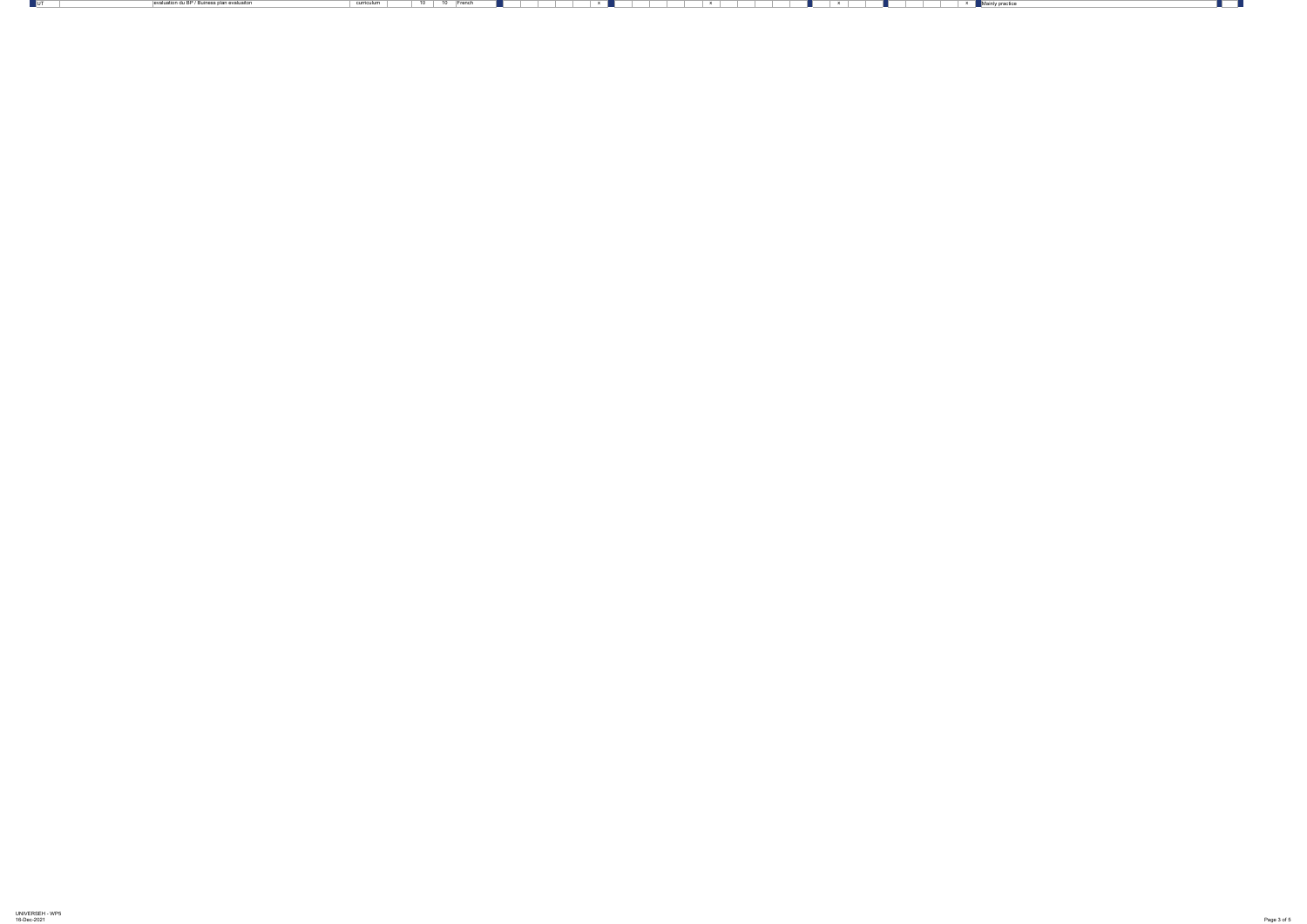| UNIVERSEH - WP5 |  |
|-----------------|--|
| 16-Dec-2021     |  |

evaluation du BP / Buiness plan evaluaiton and the curriculum which is a curriculum which is a curriculum which is a curriculum which is a curriculum which is a curriculum which is a curriculum which is a curriculum which



**The Contract**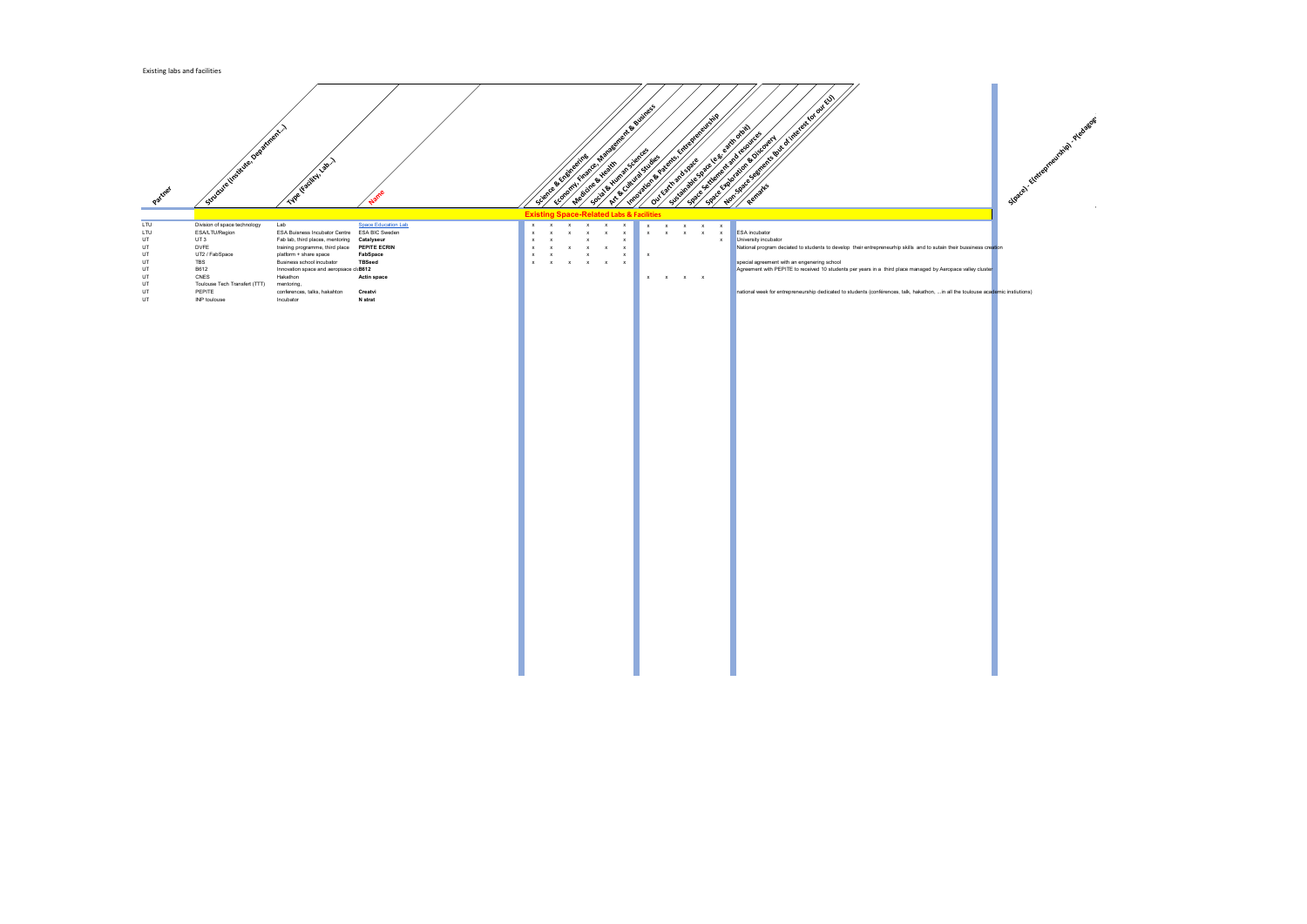

ntrepreneurhip skills and to sutain their bussiness cre<mark>ati</mark>on

ars in a third place managed by Aeropace valley cluste<mark>r</mark> <sub></sub>

 $\mathfrak s$  (conférences, talk, hakathon, ...in all the toulouse aca<mark>de</mark>mic instiutions)

| LTU<br>Lab<br><b>Space Education Lab</b><br>Division of space technology<br>$\mathsf{X}$<br>X<br><b>ESA BIC Sweden</b><br>LTU<br>ESA/LTU/Region<br><b>ESA Buisness Incubator Centre</b><br><b>ESA</b> incubator<br>х<br>X<br>$\boldsymbol{\mathsf{x}}$<br>$\mathsf{X}$<br>UT3<br>UT<br>University incubator<br>Fab lab, third places, mentoring<br><b>Catalyseur</b><br>X<br>$\boldsymbol{\mathsf{X}}$<br><b>DVFE</b><br><b>PEPITE ECRIN</b><br>UT<br>training programme, third place<br>National program d<br>$\boldsymbol{\mathsf{x}}$<br>X<br>UT2 / FabSpace<br>UT<br>platform + share space<br><b>FabSpace</b><br>$\mathsf{X}$<br>$\mathsf{X}$<br><b>TBS</b><br><b>Business school incubator</b><br>special agreement<br>UT<br><b>TBSeed</b><br>$\boldsymbol{\mathsf{x}}$<br>$\boldsymbol{\mathsf{x}}$<br>Agreement with PE<br>UT<br>B612<br>Innovation space and aeropsace cliB612<br><b>CNES</b><br>Hakathon<br>UT<br><b>Actin space</b><br>$\pmb{\mathsf{X}}$<br>$\mathsf X$<br>X<br>$\mathsf{X}$<br>UT<br>Toulouse Tech Transfert (TTT)<br>mentoring,<br><b>PEPITE</b><br>UT<br>conferences, talks, hakahton<br><b>Creatvi</b> | Partner | Studente Institute, Department) | Type Facility Lab. 1 |                | Science & Engineering | V. Finance, Management & Susiness<br>Medicine & Health | Social & Xiuman Sciences<br>Art & Curry at Studies | Importance Patents, |  | Entrepreneurship<br>Sustainable space e.g.<br>Our Earth and Space |  | earth orbit)<br>Space settlement and resources<br>Space Exploration & Discovery |
|----------------------------------------------------------------------------------------------------------------------------------------------------------------------------------------------------------------------------------------------------------------------------------------------------------------------------------------------------------------------------------------------------------------------------------------------------------------------------------------------------------------------------------------------------------------------------------------------------------------------------------------------------------------------------------------------------------------------------------------------------------------------------------------------------------------------------------------------------------------------------------------------------------------------------------------------------------------------------------------------------------------------------------------------------------------------------------------------------------------------------------------|---------|---------------------------------|----------------------|----------------|-----------------------|--------------------------------------------------------|----------------------------------------------------|---------------------|--|-------------------------------------------------------------------|--|---------------------------------------------------------------------------------|
|                                                                                                                                                                                                                                                                                                                                                                                                                                                                                                                                                                                                                                                                                                                                                                                                                                                                                                                                                                                                                                                                                                                                        |         |                                 |                      |                |                       |                                                        |                                                    |                     |  |                                                                   |  |                                                                                 |
|                                                                                                                                                                                                                                                                                                                                                                                                                                                                                                                                                                                                                                                                                                                                                                                                                                                                                                                                                                                                                                                                                                                                        |         |                                 |                      |                |                       |                                                        |                                                    |                     |  |                                                                   |  |                                                                                 |
|                                                                                                                                                                                                                                                                                                                                                                                                                                                                                                                                                                                                                                                                                                                                                                                                                                                                                                                                                                                                                                                                                                                                        |         |                                 |                      |                |                       |                                                        |                                                    |                     |  |                                                                   |  |                                                                                 |
|                                                                                                                                                                                                                                                                                                                                                                                                                                                                                                                                                                                                                                                                                                                                                                                                                                                                                                                                                                                                                                                                                                                                        |         |                                 |                      |                |                       |                                                        |                                                    |                     |  |                                                                   |  |                                                                                 |
|                                                                                                                                                                                                                                                                                                                                                                                                                                                                                                                                                                                                                                                                                                                                                                                                                                                                                                                                                                                                                                                                                                                                        |         |                                 |                      |                |                       |                                                        |                                                    |                     |  |                                                                   |  |                                                                                 |
|                                                                                                                                                                                                                                                                                                                                                                                                                                                                                                                                                                                                                                                                                                                                                                                                                                                                                                                                                                                                                                                                                                                                        |         |                                 |                      |                |                       |                                                        |                                                    |                     |  |                                                                   |  |                                                                                 |
|                                                                                                                                                                                                                                                                                                                                                                                                                                                                                                                                                                                                                                                                                                                                                                                                                                                                                                                                                                                                                                                                                                                                        |         |                                 |                      |                |                       |                                                        |                                                    |                     |  |                                                                   |  |                                                                                 |
|                                                                                                                                                                                                                                                                                                                                                                                                                                                                                                                                                                                                                                                                                                                                                                                                                                                                                                                                                                                                                                                                                                                                        |         |                                 |                      |                |                       |                                                        |                                                    |                     |  |                                                                   |  |                                                                                 |
|                                                                                                                                                                                                                                                                                                                                                                                                                                                                                                                                                                                                                                                                                                                                                                                                                                                                                                                                                                                                                                                                                                                                        |         |                                 |                      |                |                       |                                                        |                                                    |                     |  |                                                                   |  |                                                                                 |
|                                                                                                                                                                                                                                                                                                                                                                                                                                                                                                                                                                                                                                                                                                                                                                                                                                                                                                                                                                                                                                                                                                                                        |         |                                 |                      |                |                       |                                                        |                                                    |                     |  |                                                                   |  | national week for er                                                            |
|                                                                                                                                                                                                                                                                                                                                                                                                                                                                                                                                                                                                                                                                                                                                                                                                                                                                                                                                                                                                                                                                                                                                        | UT      | <b>INP</b> toulouse             | Incubator            | <b>N</b> strat |                       |                                                        |                                                    |                     |  |                                                                   |  |                                                                                 |

## Science & Engineering Economy is in the experience of the Business of the Business of the Business of the Business of the Business of<br>Economy is in the Business of the City of the Business of the Business of the Business of the Business of the<br> een cine & Health Social Artists of Sciences **Art Augustal Studies**<br>Art Augustal Studies Landarion Batents, Entrepreneurship<br>Space Sustainable Space Space Settlement and Discovery<br>Space Sustainable Space Settlement and resources<br>Valuation Batents, Space Settlement and resources **Out Earth and Space**<br>Carth and space Reutsine Control of the form of the control of the control of the control of the control of the control of the control of the control of the control of the control of the control of the control of the control of the contro **Remarks Existing Space-Related Labs & Facilities**

| LTU | Division of space technology  | Lab                                    | <u>Space Education Lab</u> | $\mathsf{X}$ | $\mathsf{X}$              | $\mathsf{X}$              | $\mathsf{X}$ | $\mathsf{X}$<br>$\mathbf{X}$ | $\mathsf{X}$ | $\mathsf{X}$ | $\mathsf{X}$ | $\mathsf{X}$ | $\mathbf{x}$ |                                                                     |
|-----|-------------------------------|----------------------------------------|----------------------------|--------------|---------------------------|---------------------------|--------------|------------------------------|--------------|--------------|--------------|--------------|--------------|---------------------------------------------------------------------|
| LTU | ESA/LTU/Region                | <b>ESA Buisness Incubator Centre</b>   | <b>ESA BIC Sweden</b>      | $\mathsf{X}$ | $\boldsymbol{\mathsf{x}}$ | $\boldsymbol{\mathsf{x}}$ | $\mathsf{X}$ | $\mathsf{X}$<br>$\mathsf{X}$ | $\mathsf{X}$ | $\mathsf{X}$ | $\mathsf{X}$ | $\mathsf{X}$ | $\mathsf{X}$ | <b>ESA</b> incubator                                                |
| UT  | UT <sub>3</sub>               | Fab lab, third places, mentoring       |                            |              |                           |                           |              |                              |              |              |              |              | $\mathsf{X}$ | University incubator                                                |
|     |                               |                                        | Catalyseur                 | $\mathsf{X}$ | $\mathsf{X}$              |                           | $\mathsf{X}$ | $\mathsf{X}$                 |              |              |              |              |              |                                                                     |
| UT  | <b>DVFE</b>                   | training programme, third place        | <b>PEPITE ECRIN</b>        | $\mathsf{X}$ | $\mathsf{x}$              | $\mathsf{X}$              | $\mathsf{X}$ | $\mathsf{X}$<br>$\mathsf{X}$ |              |              |              |              |              | National program deciated to students to develop their entrepreneur |
| UT  | UT2 / FabSpace                | platform + share space                 | FabSpace                   | $\mathsf{X}$ | $\mathsf{X}$              |                           | $\mathsf{X}$ | $\mathsf{X}$                 | $\mathsf{X}$ |              |              |              |              |                                                                     |
| UT  | <b>TBS</b>                    | Business school incubator              | <b>TBSeed</b>              | $\mathsf{X}$ | $\mathsf{X}$              | $\mathsf{X}$              | $\mathbf{x}$ | $\mathsf{X}$<br>$\mathsf{X}$ |              |              |              |              |              | special agreement with an engenering school                         |
| UT  | B612                          | Innovation space and aeropsace cliB612 |                            |              |                           |                           |              |                              |              |              |              |              |              | Agreement with PEPITE to received 10 students per years in a third  |
| UT  | CNES                          | Hakathon                               | <b>Actin space</b>         |              |                           |                           |              |                              | $\mathsf{X}$ | $\mathsf{X}$ | $\mathbf{x}$ | $\mathbf{x}$ |              |                                                                     |
| UT  | Toulouse Tech Transfert (TTT) | mentoring,                             |                            |              |                           |                           |              |                              |              |              |              |              |              |                                                                     |
|     |                               |                                        |                            |              |                           |                           |              |                              |              |              |              |              |              |                                                                     |
| UT  | <b>PEPITE</b>                 | conferences, talks, hakahton           | <b>Creatvi</b>             |              |                           |                           |              |                              |              |              |              |              |              | national week for entrepreneurship dedicated to students (conférenc |
| UT  | INP toulouse                  | Incubator                              | <b>N</b> strat             |              |                           |                           |              |                              |              |              |              |              |              |                                                                     |
|     |                               |                                        |                            |              |                           |                           |              |                              |              |              |              |              |              |                                                                     |
|     |                               |                                        |                            |              |                           |                           |              |                              |              |              |              |              |              |                                                                     |
|     |                               |                                        |                            |              |                           |                           |              |                              |              |              |              |              |              |                                                                     |
|     |                               |                                        |                            |              |                           |                           |              |                              |              |              |              |              |              |                                                                     |
|     |                               |                                        |                            |              |                           |                           |              |                              |              |              |              |              |              |                                                                     |
|     |                               |                                        |                            |              |                           |                           |              |                              |              |              |              |              |              |                                                                     |
|     |                               |                                        |                            |              |                           |                           |              |                              |              |              |              |              |              |                                                                     |
|     |                               |                                        |                            |              |                           |                           |              |                              |              |              |              |              |              |                                                                     |
|     |                               |                                        |                            |              |                           |                           |              |                              |              |              |              |              |              |                                                                     |
|     |                               |                                        |                            |              |                           |                           |              |                              |              |              |              |              |              |                                                                     |
|     |                               |                                        |                            |              |                           |                           |              |                              |              |              |              |              |              |                                                                     |
|     |                               |                                        |                            |              |                           |                           |              |                              |              |              |              |              |              |                                                                     |
|     |                               |                                        |                            |              |                           |                           |              |                              |              |              |              |              |              |                                                                     |
|     |                               |                                        |                            |              |                           |                           |              |                              |              |              |              |              |              |                                                                     |
|     |                               |                                        |                            |              |                           |                           |              |                              |              |              |              |              |              |                                                                     |
|     |                               |                                        |                            |              |                           |                           |              |                              |              |              |              |              |              |                                                                     |
|     |                               |                                        |                            |              |                           |                           |              |                              |              |              |              |              |              |                                                                     |
|     |                               |                                        |                            |              |                           |                           |              |                              |              |              |              |              |              |                                                                     |
|     |                               |                                        |                            |              |                           |                           |              |                              |              |              |              |              |              |                                                                     |
|     |                               |                                        |                            |              |                           |                           |              |                              |              |              |              |              |              |                                                                     |
|     |                               |                                        |                            |              |                           |                           |              |                              |              |              |              |              |              |                                                                     |
|     |                               |                                        |                            |              |                           |                           |              |                              |              |              |              |              |              |                                                                     |
|     |                               |                                        |                            |              |                           |                           |              |                              |              |              |              |              |              |                                                                     |
|     |                               |                                        |                            |              |                           |                           |              |                              |              |              |              |              |              |                                                                     |
|     |                               |                                        |                            |              |                           |                           |              |                              |              |              |              |              |              |                                                                     |
|     |                               |                                        |                            |              |                           |                           |              |                              |              |              |              |              |              |                                                                     |
|     |                               |                                        |                            |              |                           |                           |              |                              |              |              |              |              |              |                                                                     |
|     |                               |                                        |                            |              |                           |                           |              |                              |              |              |              |              |              |                                                                     |
|     |                               |                                        |                            |              |                           |                           |              |                              |              |              |              |              |              |                                                                     |
|     |                               |                                        |                            |              |                           |                           |              |                              |              |              |              |              |              |                                                                     |
|     |                               |                                        |                            |              |                           |                           |              |                              |              |              |              |              |              |                                                                     |
|     |                               |                                        |                            |              |                           |                           |              |                              |              |              |              |              |              |                                                                     |
|     |                               |                                        |                            |              |                           |                           |              |                              |              |              |              |              |              |                                                                     |
|     |                               |                                        |                            |              |                           |                           |              |                              |              |              |              |              |              |                                                                     |
|     |                               |                                        |                            |              |                           |                           |              |                              |              |              |              |              |              |                                                                     |
|     |                               |                                        |                            |              |                           |                           |              |                              |              |              |              |              |              |                                                                     |
|     |                               |                                        |                            |              |                           |                           |              |                              |              |              |              |              |              |                                                                     |
|     |                               |                                        |                            |              |                           |                           |              |                              |              |              |              |              |              |                                                                     |
|     |                               |                                        |                            |              |                           |                           |              |                              |              |              |              |              |              |                                                                     |
|     |                               |                                        |                            |              |                           |                           |              |                              |              |              |              |              |              |                                                                     |
|     |                               |                                        |                            |              |                           |                           |              |                              |              |              |              |              |              |                                                                     |
|     |                               |                                        |                            |              |                           |                           |              |                              |              |              |              |              |              |                                                                     |
|     |                               |                                        |                            |              |                           |                           |              |                              |              |              |              |              |              |                                                                     |
|     |                               |                                        |                            |              |                           |                           |              |                              |              |              |              |              |              |                                                                     |
|     |                               |                                        |                            |              |                           |                           |              |                              |              |              |              |              |              |                                                                     |
|     |                               |                                        |                            |              |                           |                           |              |                              |              |              |              |              |              |                                                                     |
|     |                               |                                        |                            |              |                           |                           |              |                              |              |              |              |              |              |                                                                     |
|     |                               |                                        |                            |              |                           |                           |              |                              |              |              |              |              |              |                                                                     |
|     |                               |                                        |                            |              |                           |                           |              |                              |              |              |              |              |              |                                                                     |
|     |                               |                                        |                            |              |                           |                           |              |                              |              |              |              |              |              |                                                                     |
|     |                               |                                        |                            |              |                           |                           |              |                              |              |              |              |              |              |                                                                     |
|     |                               |                                        |                            |              |                           |                           |              |                              |              |              |              |              |              |                                                                     |
|     |                               |                                        |                            |              |                           |                           |              |                              |              |              |              |              |              |                                                                     |
|     |                               |                                        |                            |              |                           |                           |              |                              |              |              |              |              |              |                                                                     |
|     |                               |                                        |                            |              |                           |                           |              |                              |              |              |              |              |              |                                                                     |
|     |                               |                                        |                            |              |                           |                           |              |                              |              |              |              |              |              |                                                                     |
|     |                               |                                        |                            |              |                           |                           |              |                              |              |              |              |              |              |                                                                     |
|     |                               |                                        |                            |              |                           |                           |              |                              |              |              |              |              |              |                                                                     |
|     |                               |                                        |                            |              |                           |                           |              |                              |              |              |              |              |              |                                                                     |
|     |                               |                                        |                            |              |                           |                           |              |                              |              |              |              |              |              |                                                                     |
|     |                               |                                        |                            |              |                           |                           |              |                              |              |              |              |              |              |                                                                     |
|     |                               |                                        |                            |              |                           |                           |              |                              |              |              |              |              |              |                                                                     |
|     |                               |                                        |                            |              |                           |                           |              |                              |              |              |              |              |              |                                                                     |

## Existing labs and facilities